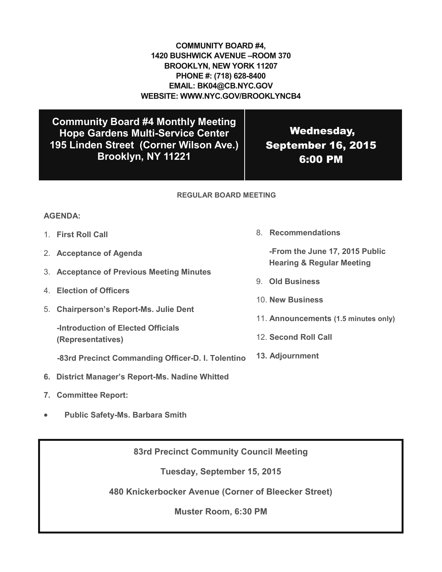## **COMMUNITY BOARD #4, 1420 BUSHWICK AVENUE –ROOM 370 BROOKLYN, NEW YORK 11207 PHONE #: (718) 628-8400 EMAIL: BK04@CB.NYC.GOV WEBSITE: WWW.NYC.GOV/BROOKLYNCB4**

**Community Board #4 Monthly Meeting Hope Gardens Multi-Service Center 195 Linden Street (Corner Wilson Ave.) Brooklyn, NY 11221**

Wednesday, September 16, 2015 6:00 PM

## **REGULAR BOARD MEETING**

## **AGENDA:**

- 1. **First Roll Call**
- 2. **Acceptance of Agenda**
- 3. **Acceptance of Previous Meeting Minutes**
- 4. **Election of Officers**
- 5. **Chairperson's Report-Ms. Julie Dent**

**-Introduction of Elected Officials (Representatives)**

 **-83rd Precinct Commanding Officer-D. I. Tolentino**

- **6. District Manager's Report-Ms. Nadine Whitted**
- **7. Committee Report:**
- **Public Safety-Ms. Barbara Smith**

**83rd Precinct Community Council Meeting**

**Tuesday, September 15, 2015**

**480 Knickerbocker Avenue (Corner of Bleecker Street)**

**Muster Room, 6:30 PM**

8. **Recommendations**

**-From the June 17, 2015 Public Hearing & Regular Meeting**

- 9. **Old Business**
- 10. **New Business**
- 11. **Announcements (1.5 minutes only)**
- 12. **Second Roll Call**
- **13. Adjournment**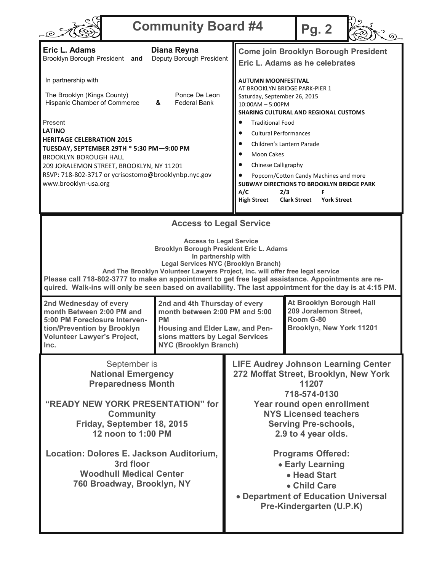|                                                                                                                                                                                                                                                                                                                                                                                                                                                                                         | <b>Community Board #4</b>                                                                                                                                                                  |                                                                                                                                                                                                                                                                                                                                                                                     | <b>Pg. 2</b>                                                                                                                                                                                                                                                                                                                                                                                                                                                                      |  |
|-----------------------------------------------------------------------------------------------------------------------------------------------------------------------------------------------------------------------------------------------------------------------------------------------------------------------------------------------------------------------------------------------------------------------------------------------------------------------------------------|--------------------------------------------------------------------------------------------------------------------------------------------------------------------------------------------|-------------------------------------------------------------------------------------------------------------------------------------------------------------------------------------------------------------------------------------------------------------------------------------------------------------------------------------------------------------------------------------|-----------------------------------------------------------------------------------------------------------------------------------------------------------------------------------------------------------------------------------------------------------------------------------------------------------------------------------------------------------------------------------------------------------------------------------------------------------------------------------|--|
| Eric L. Adams<br>Brooklyn Borough President and                                                                                                                                                                                                                                                                                                                                                                                                                                         | Diana Reyna<br>Deputy Borough President                                                                                                                                                    |                                                                                                                                                                                                                                                                                                                                                                                     | <b>Come join Brooklyn Borough President</b><br>Eric L. Adams as he celebrates                                                                                                                                                                                                                                                                                                                                                                                                     |  |
| In partnership with<br>The Brooklyn (Kings County)<br>Hispanic Chamber of Commerce<br>Present<br><b>LATINO</b><br><b>HERITAGE CELEBRATION 2015</b><br><b>BROOKLYN BOROUGH HALL</b><br>www.brooklyn-usa.org                                                                                                                                                                                                                                                                              | Ponce De Leon<br>&<br><b>Federal Bank</b><br>TUESDAY, SEPTEMBER 29TH * 5:30 PM-9:00 PM<br>209 JORALEMON STREET, BROOKLYN, NY 11201<br>RSVP: 718-802-3717 or ycrisostomo@brooklynbp.nyc.gov |                                                                                                                                                                                                                                                                                                                                                                                     | <b>AUTUMN MOONFESTIVAL</b><br>AT BROOKLYN BRIDGE PARK-PIER 1<br>Saturday, September 26, 2015<br>10:00AM - 5:00PM<br><b>SHARING CULTURAL AND REGIONAL CUSTOMS</b><br><b>Traditional Food</b><br><b>Cultural Performances</b><br>Children's Lantern Parade<br><b>Moon Cakes</b><br>Chinese Calligraphy<br>Popcorn/Cotton Candy Machines and more<br>SUBWAY DIRECTIONS TO BROOKLYN BRIDGE PARK<br>A/C<br>2/3<br>F<br><b>High Street</b><br><b>Clark Street</b><br><b>York Street</b> |  |
| <b>Access to Legal Service</b><br><b>Access to Legal Service</b><br>Brooklyn Borough President Eric L. Adams<br>In partnership with<br><b>Legal Services NYC (Brooklyn Branch)</b><br>And The Brooklyn Volunteer Lawyers Project, Inc. will offer free legal service<br>Please call 718-802-3777 to make an appointment to get free legal assistance. Appointments are re-<br>quired. Walk-ins will only be seen based on availability. The last appointment for the day is at 4:15 PM. |                                                                                                                                                                                            |                                                                                                                                                                                                                                                                                                                                                                                     |                                                                                                                                                                                                                                                                                                                                                                                                                                                                                   |  |
| 2nd Wednesday of every<br>month Between 2:00 PM and<br>5:00 PM Foreclosure Interven-<br>tion/Prevention by Brooklyn<br><b>Volunteer Lawyer's Project,</b><br>Inc.                                                                                                                                                                                                                                                                                                                       | 2nd and 4th Thursday of every<br>month between 2:00 PM and 5:00<br><b>PM</b><br>Housing and Elder Law, and Pen-<br>sions matters by Legal Services<br><b>NYC (Brooklyn Branch)</b>         |                                                                                                                                                                                                                                                                                                                                                                                     | At Brooklyn Borough Hall<br>209 Joralemon Street,<br>Room G-80<br>Brooklyn, New York 11201                                                                                                                                                                                                                                                                                                                                                                                        |  |
| September is<br><b>National Emergency</b><br><b>Preparedness Month</b><br>"READY NEW YORK PRESENTATION" for<br><b>Community</b><br>Friday, September 18, 2015<br>12 noon to 1:00 PM<br>Location: Dolores E. Jackson Auditorium,<br>3rd floor<br><b>Woodhull Medical Center</b><br>760 Broadway, Brooklyn, NY                                                                                                                                                                            |                                                                                                                                                                                            | <b>LIFE Audrey Johnson Learning Center</b><br>272 Moffat Street, Brooklyn, New York<br>11207<br>718-574-0130<br>Year round open enrollment<br><b>NYS Licensed teachers</b><br><b>Serving Pre-schools,</b><br>2.9 to 4 year olds.<br><b>Programs Offered:</b><br>• Early Learning<br>• Head Start<br>• Child Care<br>• Department of Education Universal<br>Pre-Kindergarten (U.P.K) |                                                                                                                                                                                                                                                                                                                                                                                                                                                                                   |  |